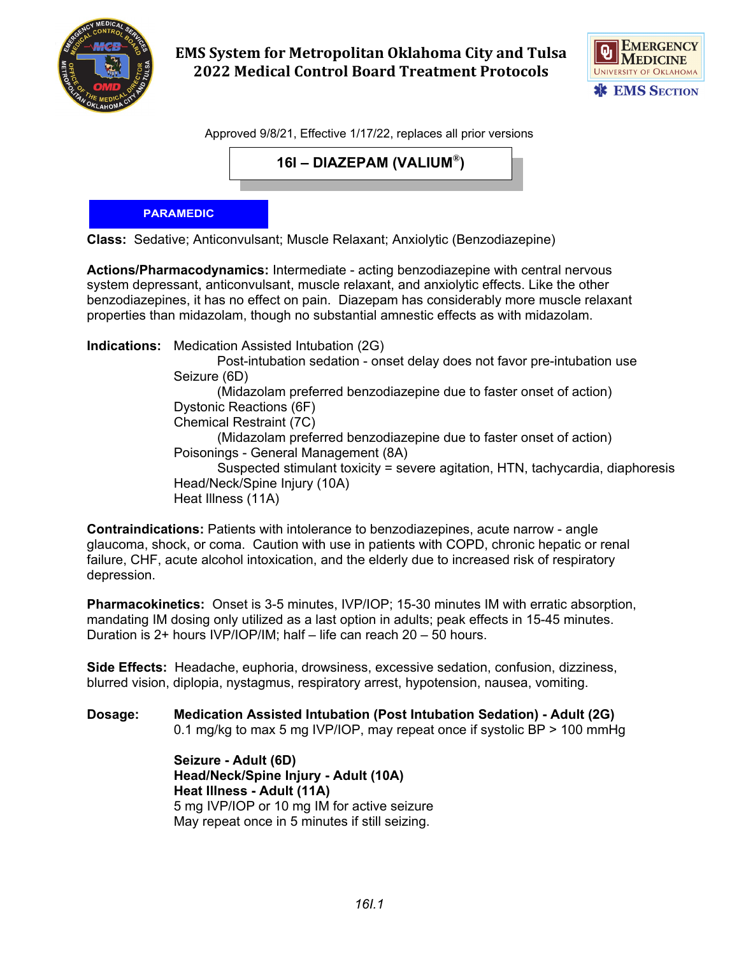

**EMS System for Metropolitan Oklahoma City and Tulsa 2022 Medical Control Board Treatment Protocols** 



Approved 9/8/21, Effective 1/17/22, replaces all prior versions

**16I – DIAZEPAM (VALIUM®)**

## **PARAMEDIC**

**Class:** Sedative; Anticonvulsant; Muscle Relaxant; Anxiolytic (Benzodiazepine)

**Actions/Pharmacodynamics:** Intermediate - acting benzodiazepine with central nervous system depressant, anticonvulsant, muscle relaxant, and anxiolytic effects. Like the other benzodiazepines, it has no effect on pain. Diazepam has considerably more muscle relaxant properties than midazolam, though no substantial amnestic effects as with midazolam.

**Indications:** Medication Assisted Intubation (2G) Post-intubation sedation - onset delay does not favor pre-intubation use Seizure (6D) (Midazolam preferred benzodiazepine due to faster onset of action) Dystonic Reactions (6F) Chemical Restraint (7C) (Midazolam preferred benzodiazepine due to faster onset of action) Poisonings - General Management (8A) Suspected stimulant toxicity = severe agitation, HTN, tachycardia, diaphoresis Head/Neck/Spine Injury (10A) Heat Illness (11A)

**Contraindications:** Patients with intolerance to benzodiazepines, acute narrow - angle glaucoma, shock, or coma. Caution with use in patients with COPD, chronic hepatic or renal failure, CHF, acute alcohol intoxication, and the elderly due to increased risk of respiratory depression.

**Pharmacokinetics:** Onset is 3-5 minutes, IVP/IOP; 15-30 minutes IM with erratic absorption, mandating IM dosing only utilized as a last option in adults; peak effects in 15-45 minutes. Duration is 2+ hours IVP/IOP/IM; half – life can reach 20 – 50 hours.

**Side Effects:** Headache, euphoria, drowsiness, excessive sedation, confusion, dizziness, blurred vision, diplopia, nystagmus, respiratory arrest, hypotension, nausea, vomiting.

**Dosage: Medication Assisted Intubation (Post Intubation Sedation) - Adult (2G)** 0.1 mg/kg to max 5 mg IVP/IOP, may repeat once if systolic BP > 100 mmHg

> **Seizure - Adult (6D) Head/Neck/Spine Injury - Adult (10A) Heat Illness - Adult (11A)** 5 mg IVP/IOP or 10 mg IM for active seizure May repeat once in 5 minutes if still seizing.